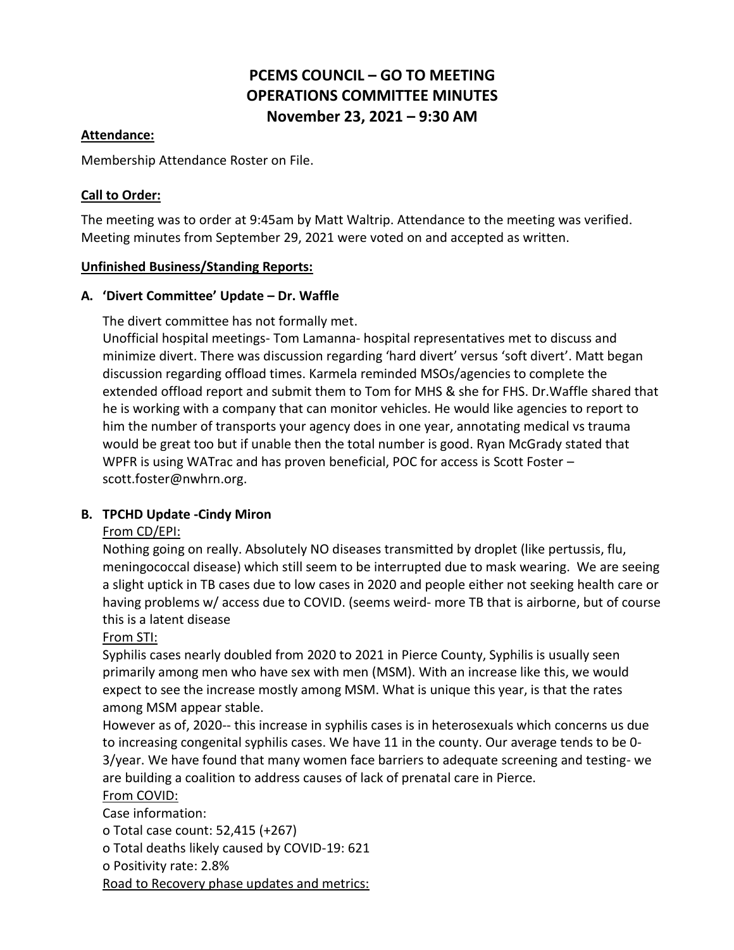# **PCEMS COUNCIL – GO TO MEETING OPERATIONS COMMITTEE MINUTES November 23, 2021 – 9:30 AM**

### **Attendance:**

Membership Attendance Roster on File.

### **Call to Order:**

The meeting was to order at 9:45am by Matt Waltrip. Attendance to the meeting was verified. Meeting minutes from September 29, 2021 were voted on and accepted as written.

#### **Unfinished Business/Standing Reports:**

### **A. 'Divert Committee' Update – Dr. Waffle**

The divert committee has not formally met.

Unofficial hospital meetings- Tom Lamanna- hospital representatives met to discuss and minimize divert. There was discussion regarding 'hard divert' versus 'soft divert'. Matt began discussion regarding offload times. Karmela reminded MSOs/agencies to complete the extended offload report and submit them to Tom for MHS & she for FHS. Dr.Waffle shared that he is working with a company that can monitor vehicles. He would like agencies to report to him the number of transports your agency does in one year, annotating medical vs trauma would be great too but if unable then the total number is good. Ryan McGrady stated that WPFR is using WATrac and has proven beneficial, POC for access is Scott Foster – scott.foster@nwhrn.org.

### **B. TPCHD Update -Cindy Miron**

### From CD/EPI:

Nothing going on really. Absolutely NO diseases transmitted by droplet (like pertussis, flu, meningococcal disease) which still seem to be interrupted due to mask wearing. We are seeing a slight uptick in TB cases due to low cases in 2020 and people either not seeking health care or having problems w/ access due to COVID. (seems weird- more TB that is airborne, but of course this is a latent disease

### From STI:

Syphilis cases nearly doubled from 2020 to 2021 in Pierce County, Syphilis is usually seen primarily among men who have sex with men (MSM). With an increase like this, we would expect to see the increase mostly among MSM. What is unique this year, is that the rates among MSM appear stable.

However as of, 2020-- this increase in syphilis cases is in heterosexuals which concerns us due to increasing congenital syphilis cases. We have 11 in the county. Our average tends to be 0- 3/year. We have found that many women face barriers to adequate screening and testing- we are building a coalition to address causes of lack of prenatal care in Pierce.

### From COVID:

Case information:

o Total case count: 52,415 (+267)

o Total deaths likely caused by COVID-19: 621

o Positivity rate: 2.8%

Road to Recovery phase updates and metrics: